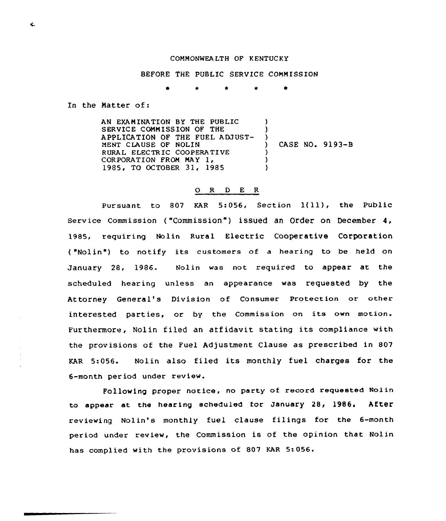## CORHONWEA LTH OF KENTUCKY

## BEFORE THE PUBLIC SERVICE COMMISSION

 $\star$  0

In the Natter of:

AN EXAMINATION BY THE PUBLIC SERVICE COMMISSION OF THE APPLICATION OF THE FUEL ADJUST-NENT CLAUSE OF NOLIN RURAL ELECTRIC COOPERATIVE CORPORATION FROM MAY 1, 1985, TO OCTOBER 31, 1985 ) ) ) CASE NO. 9193-8  $\lambda$  $\lambda$  $\lambda$ 

## 0 R <sup>D</sup> E <sup>R</sup>

Pursuant to <sup>807</sup> KAR 5:056, Section 1(ll), the Public serv ice comm ission ( "commission " ) issued an order on December 4, 1985, requiring Nolin Rural Electric Cooperative Corporation ( "Nolin") to notify its customers of a hearing to be held on January 28, 1986. Nolin was not required to appear at the scheduled hearing unless an appearance was requested by the Attorney General's Division of Consumer Protection or other interested parties, or by the Commission on its own motion. Furthermore, Nolin filed an affidavit stating its compliance with the provisions of the Fuel Adjustment Clause as prescribed in 807 KAR 5:056. Nolin also filed its monthly fuel charges for the 6-month period under review.

Following proper notice, no party of record requested Nolin to appear at the hearing scheduled for January 28, 1986. After reviewing Nolin's monthly fuel clause filings for the 6-month period under review, the Commission is of the opinion that Nolin has complied with the provisions of 807 KAR 5:056.